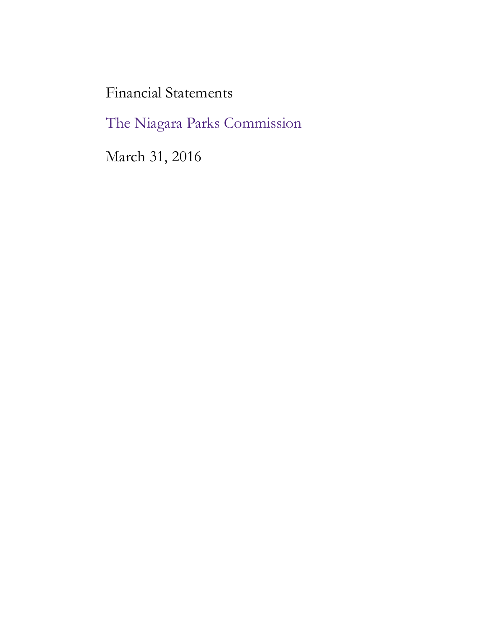Financial Statements

The Niagara Parks Commission

March 31, 2016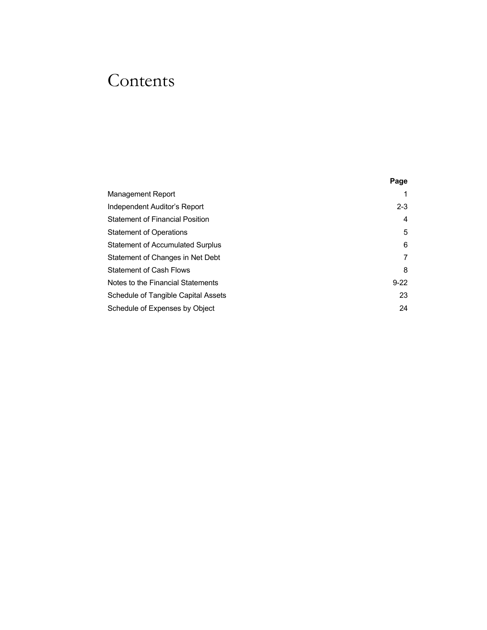# Contents

|                                         | Page    |
|-----------------------------------------|---------|
| <b>Management Report</b>                | 1       |
| Independent Auditor's Report            | $2 - 3$ |
| <b>Statement of Financial Position</b>  | 4       |
| <b>Statement of Operations</b>          | 5       |
| <b>Statement of Accumulated Surplus</b> | 6       |
| Statement of Changes in Net Debt        | 7       |
| <b>Statement of Cash Flows</b>          | 8       |
| Notes to the Financial Statements       | $9-22$  |
| Schedule of Tangible Capital Assets     | 23      |
| Schedule of Expenses by Object          | 24      |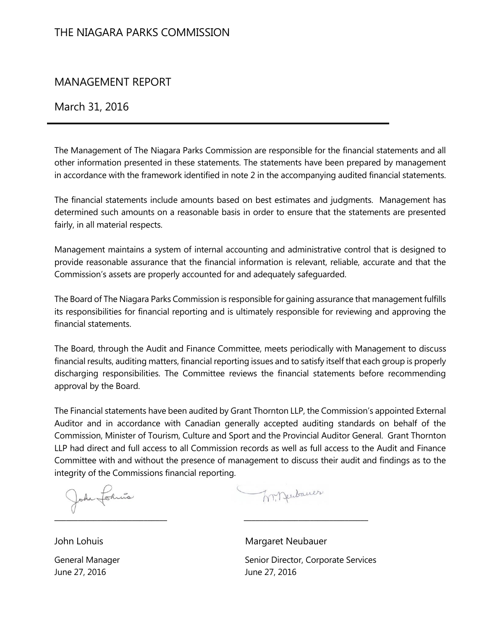### THE NIAGARA PARKS COMMISSION

### MANAGEMENT REPORT

### March 31, 2016

 The Management of The Niagara Parks Commission are responsible for the financial statements and all other information presented in these statements. The statements have been prepared by management in accordance with the framework identified in note 2 in the accompanying audited financial statements.

 The financial statements include amounts based on best estimates and judgments. Management has determined such amounts on a reasonable basis in order to ensure that the statements are presented fairly, in all material respects.

 Management maintains a system of internal accounting and administrative control that is designed to provide reasonable assurance that the financial information is relevant, reliable, accurate and that the Commission's assets are properly accounted for and adequately safeguarded.

 The Board of The Niagara Parks Commission is responsible for gaining assurance that management fulfills its responsibilities for financial reporting and is ultimately responsible for reviewing and approving the financial statements.

 The Board, through the Audit and Finance Committee, meets periodically with Management to discuss financial results, auditing matters, financial reporting issues and to satisfy itself that each group is properly discharging responsibilities. The Committee reviews the financial statements before recommending approval by the Board.

 The Financial statements have been audited by Grant Thornton LLP, the Commission's appointed External Auditor and in accordance with Canadian generally accepted auditing standards on behalf of the Commission, Minister of Tourism, Culture and Sport and the Provincial Auditor General. Grant Thornton LLP had direct and full access to all Commission records as well as full access to the Audit and Finance Committee with and without the presence of management to discuss their audit and findings as to the integrity of the Commissions financial reporting.

John Johnis  $\overbrace{\phantom{xxxxx}}$ 

John Lohuis General Manager June 27, 2016

M. Jeubauer

Margaret Neubauer Senior Director, Corporate Services June 27, 2016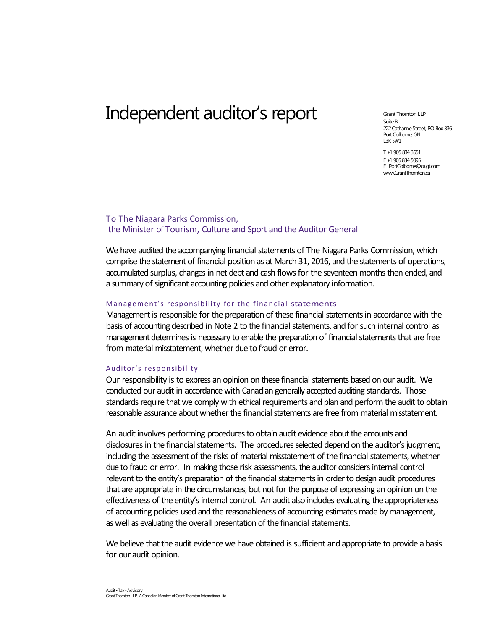# Independent auditor's report suite B Stant Thomton LLP

 222 Catharine Street, PO Box 336 Port Colborne, ON L3K 5W1

 T +1 905 834 3651 F +1 905834 5095 E [PortColborne@ca.gt.com](mailto:PortColborne@ca.gt.com) [www.GrantThornton.ca](http://www.GrantThornton.ca)

#### To The Niagara Parks Commission, the Minister of Tourism, Culture and Sport and the Auditor General

 We have audited the accompanying financial statements of The Niagara Parks Commission, which comprise the statement of financial position as at March 31, 2016, and the statements of operations, accumulated surplus, changes in net debt and cash flows for the seventeen months then ended, and a summary of significant accounting policies and other explanatory information.

#### Management's responsibility for the financial statements

 Management is responsible for the preparation of these financial statements in accordance with the basis of accounting described in Note 2 to the financial statements, and for such internal control as management determines is necessary to enable the preparation of financial statements that are free from material misstatement, whether due to fraud or error.

#### Auditor's responsibility

 Our responsibility is to express an opinion on these financial statements based on our audit. We conducted our audit in accordance with Canadian generally accepted auditing standards. Those standards require that we comply with ethical requirements and plan and perform the audit to obtain reasonable assurance about whether the financial statements are free from material misstatement.

 An audit involves performing procedures to obtain audit evidence about the amounts and disclosures in the financial statements. The procedures selected depend on the auditor's judgment, including the assessment of the risks of material misstatement of the financial statements, whether due to fraud or error. In making those risk assessments, the auditor considers internal control relevant to the entity's preparation of the financial statements in order to design audit procedures that are appropriate in the circumstances, but not for the purpose of expressing an opinion on the effectiveness of the entity's internal control. An audit also includes evaluating the appropriateness of accounting policies used and the reasonableness of accounting estimates made by management, as well as evaluating the overall presentation of the financial statements.

 We believe that the audit evidence we have obtained is sufficient and appropriate to provide a basis for our audit opinion.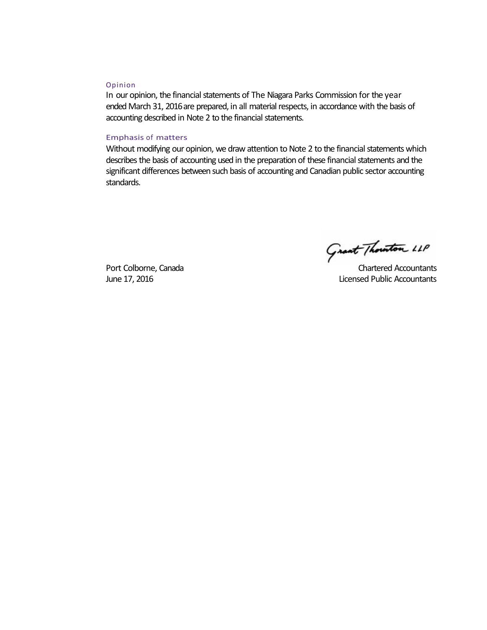#### Opinion

 In our opinion, the financial statements of The Niagara Parks Commission for the year ended March 31, 2016are prepared, in all material respects, in accordance with the basis of accounting described in Note 2 to the financial statements.

#### Emphasis of matters

 Without modifying our opinion, we draw attention to Note 2 to the financial statements which describes the basis of accounting used in the preparation of these financial statements and the significant differences between such basis of accounting and Canadian public sector accounting standards.

Grant Thouston 11P

Port Colborne, Canada Chartered Accountants Licensed Public Accountants

June 17, 2016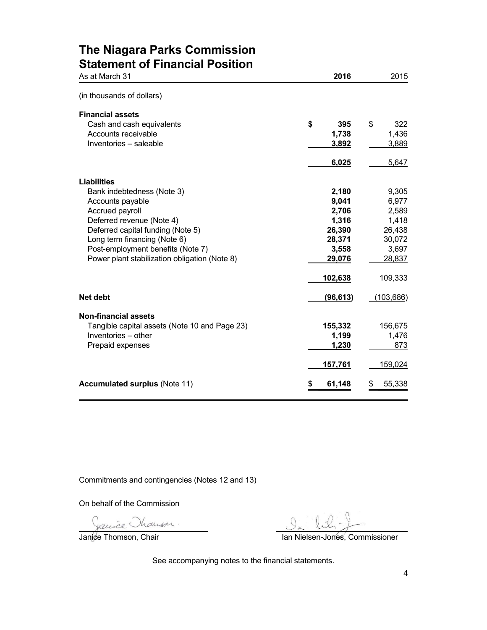### **The Niagara Parks Commission Statement of Financial Position**

| As at March 31                                | 2016        | 2015         |
|-----------------------------------------------|-------------|--------------|
| (in thousands of dollars)                     |             |              |
| <b>Financial assets</b>                       |             |              |
| Cash and cash equivalents                     | \$<br>395   | \$<br>322    |
| Accounts receivable                           | 1,738       | 1,436        |
| Inventories - saleable                        | 3,892       | 3,889        |
|                                               | 6,025       | 5,647        |
| <b>Liabilities</b>                            |             |              |
| Bank indebtedness (Note 3)                    | 2,180       | 9,305        |
| Accounts payable                              | 9,041       | 6,977        |
| Accrued payroll                               | 2,706       | 2,589        |
| Deferred revenue (Note 4)                     | 1,316       | 1,418        |
| Deferred capital funding (Note 5)             | 26,390      | 26,438       |
| Long term financing (Note 6)                  | 28,371      | 30,072       |
| Post-employment benefits (Note 7)             | 3,558       | 3,697        |
| Power plant stabilization obligation (Note 8) | 29,076      | 28,837       |
|                                               | 102,638     | 109,333      |
| <b>Net debt</b>                               | (96, 613)   | (103, 686)   |
| <b>Non-financial assets</b>                   |             |              |
| Tangible capital assets (Note 10 and Page 23) | 155,332     | 156,675      |
| Inventories - other                           | 1,199       | 1,476        |
| Prepaid expenses                              | 1,230       | 873          |
|                                               | 157,761     | 159,024      |
| <b>Accumulated surplus (Note 11)</b>          | 61,148<br>S | 55,338<br>\$ |

Commitments and contingencies (Notes 12 and 13)

On behalf of the Commission

Janice Thomson.

l

Ian Nielsen-Jones, Commissioner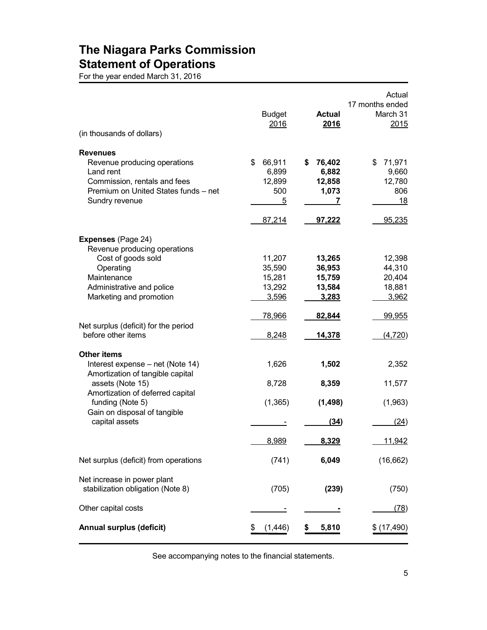## **The Niagara Parks Commission**

 **Statement of Operations** 

For the year ended March 31, 2016

| (in thousands of dollars)                                                                                                                                           | <b>Budget</b><br>2016                                          | <b>Actual</b><br>2016                                   | Actual<br>17 months ended<br>March 31<br>2015           |
|---------------------------------------------------------------------------------------------------------------------------------------------------------------------|----------------------------------------------------------------|---------------------------------------------------------|---------------------------------------------------------|
| <b>Revenues</b><br>Revenue producing operations<br>Land rent<br>Commission, rentals and fees<br>Premium on United States funds - net<br>Sundry revenue              | \$<br>66,911<br>6,899<br>12,899<br>500<br>5<br>87,214          | \$<br>76,402<br>6,882<br>12,858<br>1,073<br>7<br>97,222 | \$<br>71,971<br>9,660<br>12,780<br>806<br>18<br>95,235  |
| <b>Expenses (Page 24)</b><br>Revenue producing operations<br>Cost of goods sold<br>Operating<br>Maintenance<br>Administrative and police<br>Marketing and promotion | 11,207<br>35,590<br>15,281<br>13,292<br>3,596<br><u>78,966</u> | 13,265<br>36,953<br>15,759<br>13,584<br>3,283<br>82,844 | 12,398<br>44,310<br>20,404<br>18,881<br>3,962<br>99,955 |
| Net surplus (deficit) for the period<br>before other items                                                                                                          | 8,248                                                          | 14,378                                                  | (4,720)                                                 |
| <b>Other items</b><br>Interest expense – net (Note 14)<br>Amortization of tangible capital<br>assets (Note 15)<br>Amortization of deferred capital                  | 1,626<br>8,728                                                 | 1,502<br>8,359                                          | 2,352<br>11,577                                         |
| funding (Note 5)<br>Gain on disposal of tangible<br>capital assets                                                                                                  | (1, 365)                                                       | (1, 498)<br>(34)                                        | (1,963)<br>(24)                                         |
| Net surplus (deficit) from operations                                                                                                                               | 8,989                                                          | 8,329                                                   | 11,942                                                  |
|                                                                                                                                                                     | (741)                                                          | 6,049                                                   | (16, 662)                                               |
| Net increase in power plant<br>stabilization obligation (Note 8)                                                                                                    | (705)                                                          | (239)                                                   | (750)                                                   |
| Other capital costs                                                                                                                                                 |                                                                |                                                         | <u>(78)</u>                                             |
| <b>Annual surplus (deficit)</b>                                                                                                                                     | (1, 446)                                                       | 5,810<br>\$                                             | \$(17,490)                                              |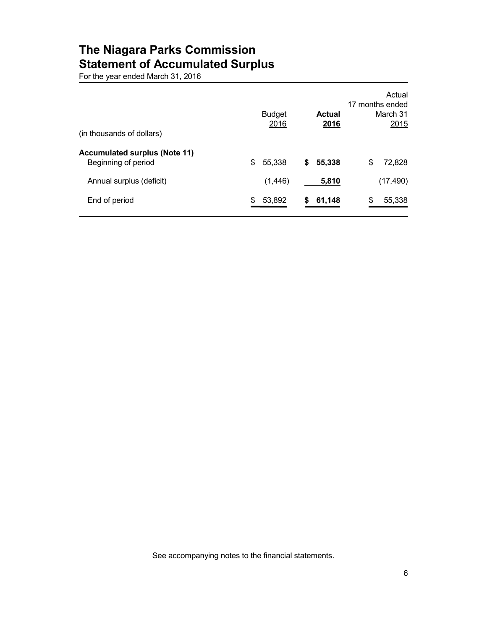### **The Niagara Parks Commission Statement of Accumulated Surplus**

For the year ended March 31, 2016

| (in thousands of dollars)            | <b>Budget</b><br>2016 | <b>Actual</b><br>2016 | Actual<br>17 months ended<br>March 31<br>2015 |
|--------------------------------------|-----------------------|-----------------------|-----------------------------------------------|
| <b>Accumulated surplus (Note 11)</b> | \$                    | 55,338                | \$                                            |
| Beginning of period                  | 55,338                | \$                    | 72,828                                        |
| Annual surplus (deficit)             | (1,446)               | 5,810                 | (17,490)                                      |
| End of period                        | 53,892                | 61,148                | \$                                            |
|                                      | S                     | S                     | 55,338                                        |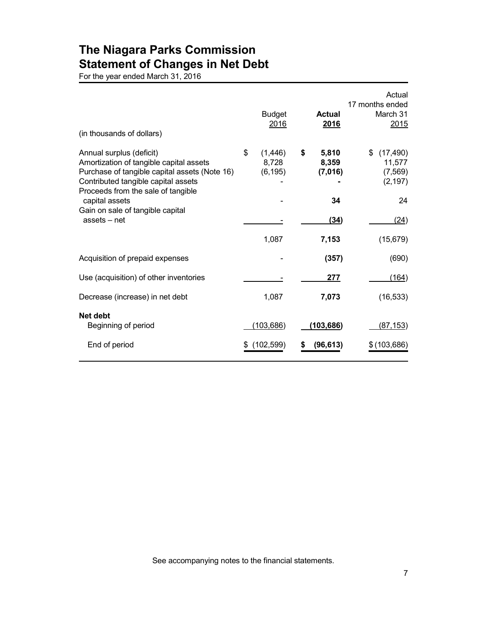### **The Niagara Parks Commission Statement of Changes in Net Debt**

For the year ended March 31, 2016

| (in thousands of dollars)                                                                                                                                                                                                                               | <b>Budget</b><br>2016               |    | <b>Actual</b><br>2016           | Actual<br>17 months ended<br>March 31<br>2015           |
|---------------------------------------------------------------------------------------------------------------------------------------------------------------------------------------------------------------------------------------------------------|-------------------------------------|----|---------------------------------|---------------------------------------------------------|
| Annual surplus (deficit)<br>Amortization of tangible capital assets<br>Purchase of tangible capital assets (Note 16)<br>Contributed tangible capital assets<br>Proceeds from the sale of tangible<br>capital assets<br>Gain on sale of tangible capital | \$<br>(1, 446)<br>8,728<br>(6, 195) | \$ | 5,810<br>8,359<br>(7,016)<br>34 | (17, 490)<br>\$<br>11,577<br>(7, 569)<br>(2, 197)<br>24 |
| assets - net                                                                                                                                                                                                                                            | 1,087                               |    | (34)<br>7,153                   | (24)<br>(15, 679)                                       |
| Acquisition of prepaid expenses                                                                                                                                                                                                                         |                                     |    | (357)                           | (690)                                                   |
| Use (acquisition) of other inventories                                                                                                                                                                                                                  |                                     |    | 277                             | (164)                                                   |
| Decrease (increase) in net debt                                                                                                                                                                                                                         | 1,087                               |    | 7,073                           | (16, 533)                                               |
| Net debt<br>Beginning of period                                                                                                                                                                                                                         | (103,686)                           | S  | (103, 686)                      | (87, 153)                                               |
| End of period                                                                                                                                                                                                                                           | (102, 599)                          |    | (96, 613)                       | \$(103,686)                                             |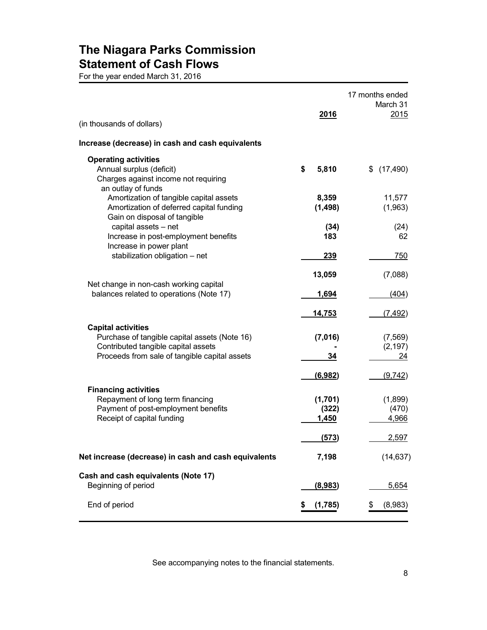# **The Niagara Parks Commission**

 **Statement of Cash Flows** 

For the year ended March 31, 2016

| (in thousands of dollars)                                                                                                                                          | 2016                      | 17 months ended<br>March 31<br>2015 |
|--------------------------------------------------------------------------------------------------------------------------------------------------------------------|---------------------------|-------------------------------------|
| Increase (decrease) in cash and cash equivalents                                                                                                                   |                           |                                     |
| <b>Operating activities</b><br>Annual surplus (deficit)<br>Charges against income not requiring<br>an outlay of funds                                              | \$<br>5,810               | (17, 490)<br>\$                     |
| Amortization of tangible capital assets<br>Amortization of deferred capital funding<br>Gain on disposal of tangible                                                | 8,359<br>(1, 498)         | 11,577<br>(1,963)                   |
| capital assets - net<br>Increase in post-employment benefits<br>Increase in power plant                                                                            | (34)<br>183               | (24)<br>62                          |
| stabilization obligation - net                                                                                                                                     | 239                       | 750                                 |
|                                                                                                                                                                    | 13,059                    | (7,088)                             |
| Net change in non-cash working capital<br>balances related to operations (Note 17)                                                                                 | 1,694                     | (404)                               |
|                                                                                                                                                                    | <u>14,753</u>             | (7, 492)                            |
| <b>Capital activities</b><br>Purchase of tangible capital assets (Note 16)<br>Contributed tangible capital assets<br>Proceeds from sale of tangible capital assets | (7,016)<br>34             | (7, 569)<br>(2, 197)<br>24          |
|                                                                                                                                                                    | (6,982)                   | (9,742)                             |
| <b>Financing activities</b><br>Repayment of long term financing<br>Payment of post-employment benefits<br>Receipt of capital funding                               | (1,701)<br>(322)<br>1,450 | (1,899)<br>(470)<br>4,966           |
|                                                                                                                                                                    | (573)                     | 2,597                               |
| Net increase (decrease) in cash and cash equivalents                                                                                                               | 7,198                     | (14, 637)                           |
| Cash and cash equivalents (Note 17)<br>Beginning of period                                                                                                         | (8,983)                   | <u>5,654</u>                        |
| End of period                                                                                                                                                      | (1,785)<br>5              | (8,983)<br>S                        |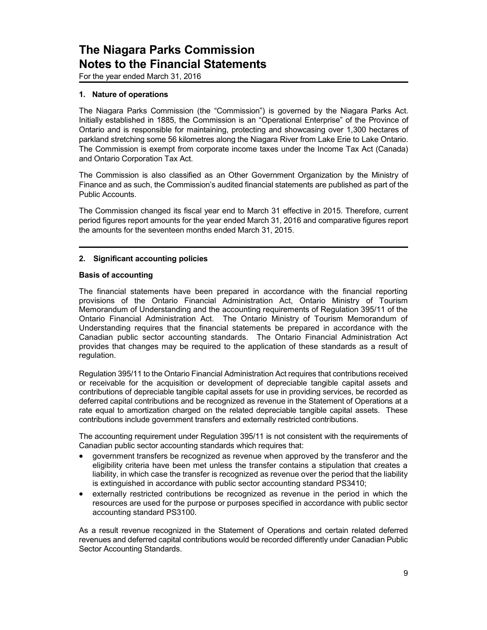For the year ended March 31, 2016

#### **1. Nature of operations**

 The Niagara Parks Commission (the "Commission") is governed by the Niagara Parks Act. Initially established in 1885, the Commission is an "Operational Enterprise" of the Province of Ontario and is responsible for maintaining, protecting and showcasing over 1,300 hectares of parkland stretching some 56 kilometres along the Niagara River from Lake Erie to Lake Ontario. The Commission is exempt from corporate income taxes under the Income Tax Act (Canada) and Ontario Corporation Tax Act.

 The Commission is also classified as an Other Government Organization by the Ministry of Finance and as such, the Commission's audited financial statements are published as part of the Public Accounts.

 The Commission changed its fiscal year end to March 31 effective in 2015. Therefore, current period figures report amounts for the year ended March 31, 2016 and comparative figures report the amounts for the seventeen months ended March 31, 2015.

#### **2. Significant accounting policies**

#### **Basis of accounting**

 The financial statements have been prepared in accordance with the financial reporting provisions of the Ontario Financial Administration Act, Ontario Ministry of Tourism Memorandum of Understanding and the accounting requirements of Regulation 395/11 of the Ontario Financial Administration Act. The Ontario Ministry of Tourism Memorandum of Understanding requires that the financial statements be prepared in accordance with the Canadian public sector accounting standards. The Ontario Financial Administration Act provides that changes may be required to the application of these standards as a result of regulation.

 Regulation 395/11 to the Ontario Financial Administration Act requires that contributions received or receivable for the acquisition or development of depreciable tangible capital assets and contributions of depreciable tangible capital assets for use in providing services, be recorded as deferred capital contributions and be recognized as revenue in the Statement of Operations at a rate equal to amortization charged on the related depreciable tangible capital assets. These contributions include government transfers and externally restricted contributions.

 Canadian public sector accounting standards which requires that: The accounting requirement under Regulation 395/11 is not consistent with the requirements of

- government transfers be recognized as revenue when approved by the transferor and the eligibility criteria have been met unless the transfer contains a stipulation that creates a liability, in which case the transfer is recognized as revenue over the period that the liability is extinguished in accordance with public sector accounting standard PS3410;
- externally restricted contributions be recognized as revenue in the period in which the resources are used for the purpose or purposes specified in accordance with public sector accounting standard PS3100.

 As a result revenue recognized in the Statement of Operations and certain related deferred revenues and deferred capital contributions would be recorded differently under Canadian Public Sector Accounting Standards.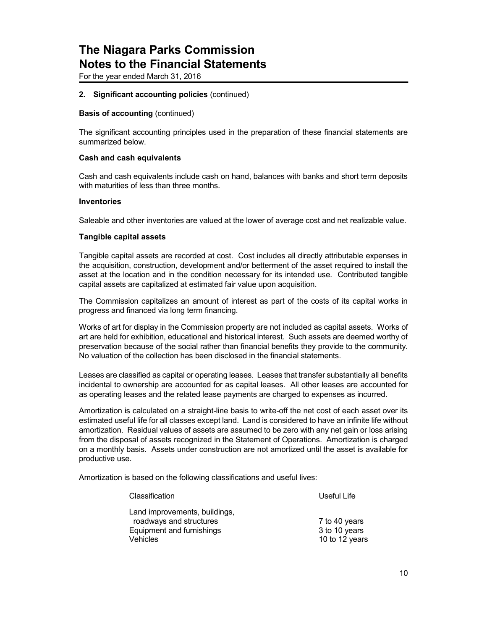For the year ended March 31, 2016

#### **2. Significant accounting policies** (continued)

#### **Basis of accounting** (continued)

 The significant accounting principles used in the preparation of these financial statements are summarized below.

#### **Cash and cash equivalents**

 with maturities of less than three months. Cash and cash equivalents include cash on hand, balances with banks and short term deposits

#### **Inventories**

Saleable and other inventories are valued at the lower of average cost and net realizable value.

#### **Tangible capital assets**

 Tangible capital assets are recorded at cost. Cost includes all directly attributable expenses in the acquisition, construction, development and/or betterment of the asset required to install the asset at the location and in the condition necessary for its intended use. Contributed tangible capital assets are capitalized at estimated fair value upon acquisition.

 The Commission capitalizes an amount of interest as part of the costs of its capital works in progress and financed via long term financing.

 Works of art for display in the Commission property are not included as capital assets. Works of art are held for exhibition, educational and historical interest. Such assets are deemed worthy of preservation because of the social rather than financial benefits they provide to the community. No valuation of the collection has been disclosed in the financial statements.

 Leases are classified as capital or operating leases. Leases that transfer substantially all benefits incidental to ownership are accounted for as capital leases. All other leases are accounted for as operating leases and the related lease payments are charged to expenses as incurred.

 Amortization is calculated on a straight-line basis to write-off the net cost of each asset over its estimated useful life for all classes except land. Land is considered to have an infinite life without amortization. Residual values of assets are assumed to be zero with any net gain or loss arising from the disposal of assets recognized in the Statement of Operations. Amortization is charged on a monthly basis. Assets under construction are not amortized until the asset is available for productive use.

Amortization is based on the following classifications and useful lives:

| Classification                                                                                           | Useful Life                                      |
|----------------------------------------------------------------------------------------------------------|--------------------------------------------------|
| Land improvements, buildings,<br>roadways and structures<br>Equipment and furnishings<br><b>Vehicles</b> | 7 to 40 years<br>3 to 10 years<br>10 to 12 years |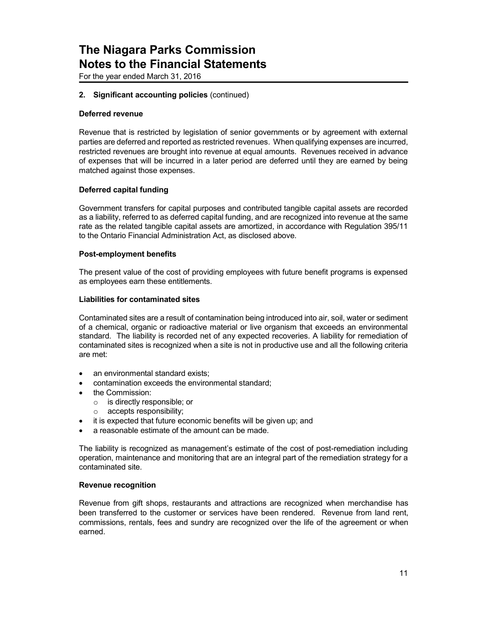For the year ended March 31, 2016

#### **2. Significant accounting policies** (continued)

#### **Deferred revenue**

 Revenue that is restricted by legislation of senior governments or by agreement with external parties are deferred and reported as restricted revenues. When qualifying expenses are incurred, restricted revenues are brought into revenue at equal amounts. Revenues received in advance of expenses that will be incurred in a later period are deferred until they are earned by being matched against those expenses.

#### **Deferred capital funding**

 Government transfers for capital purposes and contributed tangible capital assets are recorded as a liability, referred to as deferred capital funding, and are recognized into revenue at the same rate as the related tangible capital assets are amortized, in accordance with Regulation 395/11 to the Ontario Financial Administration Act, as disclosed above.

#### **Post-employment benefits**

 The present value of the cost of providing employees with future benefit programs is expensed as employees earn these entitlements.

#### **Liabilities for contaminated sites**

 Contaminated sites are a result of contamination being introduced into air, soil, water or sediment of a chemical, organic or radioactive material or live organism that exceeds an environmental standard. The liability is recorded net of any expected recoveries. A liability for remediation of contaminated sites is recognized when a site is not in productive use and all the following criteria are met:

- an environmental standard exists;
- contamination exceeds the environmental standard;
- the Commission:
	- o is directly responsible; or
	- o accepts responsibility;
- it is expected that future economic benefits will be given up; and
- a reasonable estimate of the amount can be made.

 The liability is recognized as management's estimate of the cost of post-remediation including operation, maintenance and monitoring that are an integral part of the remediation strategy for a contaminated site.

#### **Revenue recognition**

 Revenue from gift shops, restaurants and attractions are recognized when merchandise has been transferred to the customer or services have been rendered. Revenue from land rent, commissions, rentals, fees and sundry are recognized over the life of the agreement or when earned.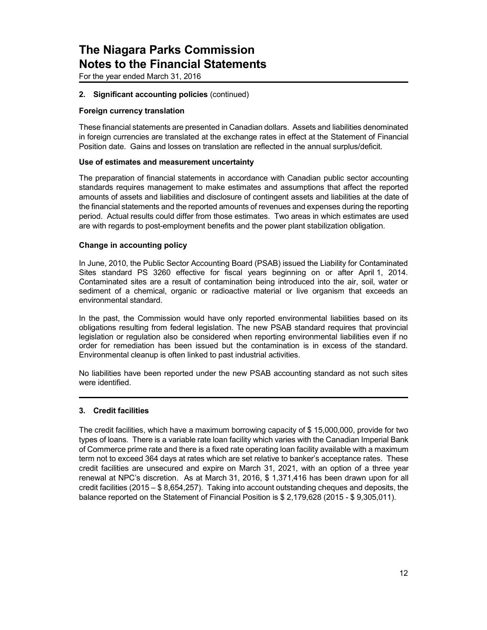For the year ended March 31, 2016

#### **2. Significant accounting policies** (continued)

#### **Foreign currency translation**

 These financial statements are presented in Canadian dollars. Assets and liabilities denominated in foreign currencies are translated at the exchange rates in effect at the Statement of Financial Position date. Gains and losses on translation are reflected in the annual surplus/deficit.

#### **Use of estimates and measurement uncertainty**

 The preparation of financial statements in accordance with Canadian public sector accounting standards requires management to make estimates and assumptions that affect the reported amounts of assets and liabilities and disclosure of contingent assets and liabilities at the date of the financial statements and the reported amounts of revenues and expenses during the reporting period. Actual results could differ from those estimates. Two areas in which estimates are used are with regards to post-employment benefits and the power plant stabilization obligation.

#### **Change in accounting policy**

 In June, 2010, the Public Sector Accounting Board (PSAB) issued the Liability for Contaminated Sites standard PS 3260 effective for fiscal years beginning on or after April 1, 2014. Contaminated sites are a result of contamination being introduced into the air, soil, water or sediment of a chemical, organic or radioactive material or live organism that exceeds an environmental standard.

 In the past, the Commission would have only reported environmental liabilities based on its obligations resulting from federal legislation. The new PSAB standard requires that provincial legislation or regulation also be considered when reporting environmental liabilities even if no order for remediation has been issued but the contamination is in excess of the standard. Environmental cleanup is often linked to past industrial activities.

 No liabilities have been reported under the new PSAB accounting standard as not such sites were identified.

#### **3. Credit facilities**

 The credit facilities, which have a maximum borrowing capacity of \$ 15,000,000, provide for two types of loans. There is a variable rate loan facility which varies with the Canadian Imperial Bank of Commerce prime rate and there is a fixed rate operating loan facility available with a maximum term not to exceed 364 days at rates which are set relative to banker's acceptance rates. These credit facilities are unsecured and expire on March 31, 2021, with an option of a three year renewal at NPC's discretion. As at March 31, 2016, \$ 1,371,416 has been drawn upon for all credit facilities (2015 – \$ 8,654,257). Taking into account outstanding cheques and deposits, the balance reported on the Statement of Financial Position is \$ 2,179,628 (2015 - \$ 9,305,011).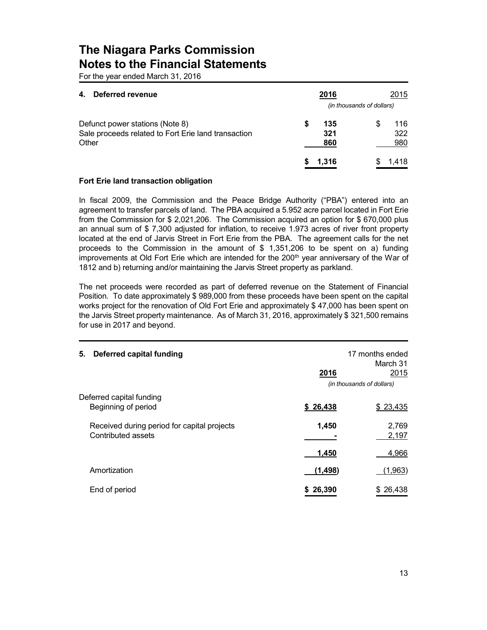For the year ended March 31, 2016

| Deferred revenue<br>4.                                                                          | 2016              | 2015<br>(in thousands of dollars) |
|-------------------------------------------------------------------------------------------------|-------------------|-----------------------------------|
| Defunct power stations (Note 8)<br>Sale proceeds related to Fort Erie land transaction<br>Other | 135<br>321<br>860 | \$<br>116<br>322<br>980           |
|                                                                                                 | 1.316             | 1.418                             |

#### **Fort Erie land transaction obligation**

 In fiscal 2009, the Commission and the Peace Bridge Authority ("PBA") entered into an agreement to transfer parcels of land. The PBA acquired a 5.952 acre parcel located in Fort Erie from the Commission for \$ 2,021,206. The Commission acquired an option for \$ 670,000 plus an annual sum of \$ 7,300 adjusted for inflation, to receive 1.973 acres of river front property located at the end of Jarvis Street in Fort Erie from the PBA. The agreement calls for the net proceeds to the Commission in the amount of \$ 1,351,206 to be spent on a) funding improvements at Old Fort Erie which are intended for the 200<sup>th</sup> year anniversary of the War of 1812 and b) returning and/or maintaining the Jarvis Street property as parkland.

 The net proceeds were recorded as part of deferred revenue on the Statement of Financial Position. To date approximately \$ 989,000 from these proceeds have been spent on the capital works project for the renovation of Old Fort Erie and approximately \$ 47,000 has been spent on the Jarvis Street property maintenance. As of March 31, 2016, approximately \$ 321,500 remains for use in 2017 and beyond.

| 5.<br>Deferred capital funding              |          | 17 months ended<br>March 31 |
|---------------------------------------------|----------|-----------------------------|
|                                             | 2016     | 2015                        |
|                                             |          | (in thousands of dollars)   |
| Deferred capital funding                    |          |                             |
| Beginning of period                         | \$26,438 | \$23,435                    |
| Received during period for capital projects | 1,450    | 2,769                       |
| Contributed assets                          |          | 2,197                       |
|                                             | 1,450    | 4,966                       |
| Amortization                                | (1,498)  | (1,963)                     |
| End of period                               | \$26,390 | \$26,438                    |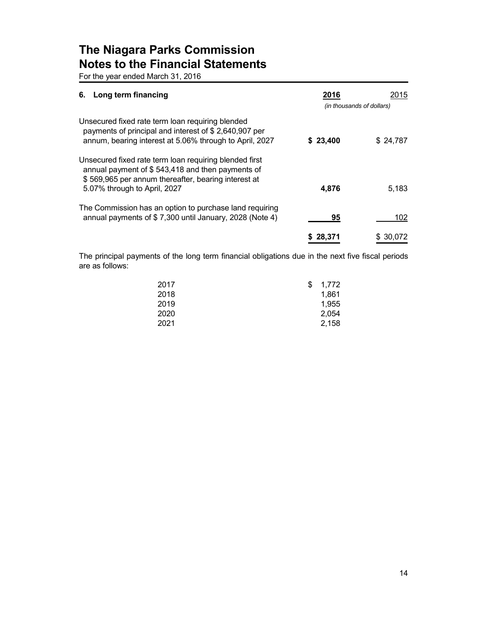For the year ended March 31, 2016

| Long term financing<br>6.                                                                                                                                                                         | 2016     | 2015<br>(in thousands of dollars) |
|---------------------------------------------------------------------------------------------------------------------------------------------------------------------------------------------------|----------|-----------------------------------|
| Unsecured fixed rate term loan requiring blended<br>payments of principal and interest of \$2,640,907 per<br>annum, bearing interest at 5.06% through to April, 2027                              | \$23,400 | \$24,787                          |
| Unsecured fixed rate term loan requiring blended first<br>annual payment of \$543,418 and then payments of<br>\$569,965 per annum thereafter, bearing interest at<br>5.07% through to April, 2027 | 4,876    | 5,183                             |
| The Commission has an option to purchase land requiring<br>annual payments of \$7,300 until January, 2028 (Note 4)                                                                                | 95       | 102                               |
|                                                                                                                                                                                                   | 28.371   | \$30.072                          |

 The principal payments of the long term financial obligations due in the next five fiscal periods are as follows:

| 2017 | S | 1.772 |
|------|---|-------|
| 2018 |   | 1,861 |
| 2019 |   | 1.955 |
| 2020 |   | 2,054 |
| 2021 |   | 2,158 |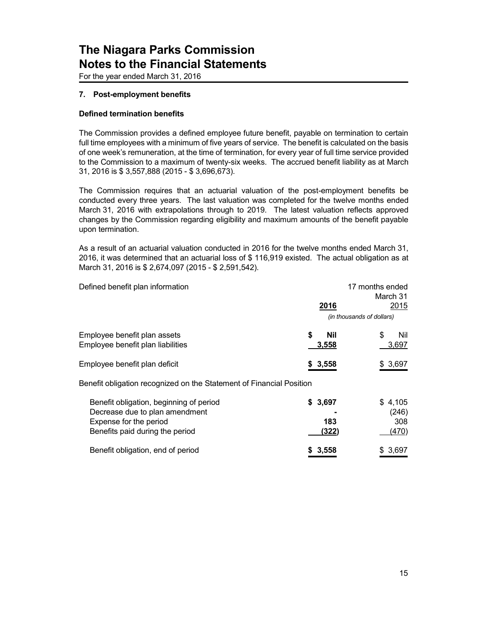For the year ended March 31, 2016

#### **7. Post-employment benefits**

#### **Defined termination benefits**

 The Commission provides a defined employee future benefit, payable on termination to certain full time employees with a minimum of five years of service. The benefit is calculated on the basis of one week's remuneration, at the time of termination, for every year of full time service provided to the Commission to a maximum of twenty-six weeks. The accrued benefit liability as at March 31, 2016 is \$ 3,557,888 (2015 - \$ 3,696,673).

 The Commission requires that an actuarial valuation of the post-employment benefits be conducted every three years. The last valuation was completed for the twelve months ended March 31, 2016 with extrapolations through to 2019. The latest valuation reflects approved changes by the Commission regarding eligibility and maximum amounts of the benefit payable upon termination.

 As a result of an actuarial valuation conducted in 2016 for the twelve months ended March 31, 2016, it was determined that an actuarial loss of \$ 116,919 existed. The actual obligation as at March 31, 2016 is \$ 2,674,097 (2015 - \$ 2,591,542).

| Defined benefit plan information                                          |           | 17 months ended<br>March 31 |
|---------------------------------------------------------------------------|-----------|-----------------------------|
|                                                                           | 2016      | 2015                        |
|                                                                           |           | (in thousands of dollars)   |
| Employee benefit plan assets                                              | \$<br>Nil | \$<br>Nil                   |
| Employee benefit plan liabilities                                         | 3,558     | 3,697                       |
| Employee benefit plan deficit                                             | \$3,558   | \$3,697                     |
| Benefit obligation recognized on the Statement of Financial Position      |           |                             |
| Benefit obligation, beginning of period<br>Decrease due to plan amendment | \$3,697   | 4,105<br>\$<br>(246)        |
| Expense for the period                                                    | 183       | 308                         |
| Benefits paid during the period                                           | (322)     | (470)                       |
| Benefit obligation, end of period                                         | \$3,558   | \$3,697                     |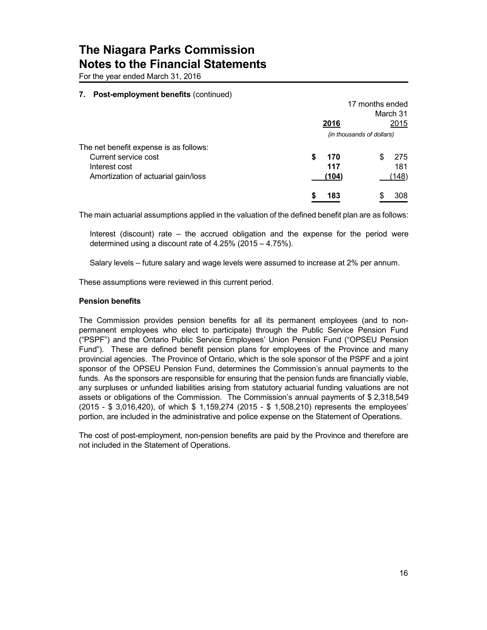For the year ended March 31, 2016

#### **7. Post-employment benefits** (continued)

|                                        |          | 17 months ended           |
|----------------------------------------|----------|---------------------------|
|                                        |          | March 31                  |
|                                        | 2016     | 2015                      |
|                                        |          | (in thousands of dollars) |
| The net benefit expense is as follows: |          |                           |
| Current service cost                   | 170<br>S | 275<br>S                  |
| Interest cost                          | 117      | 181                       |
| Amortization of actuarial gain/loss    | (104)    | (148)                     |
|                                        | 183      | S<br>308                  |

The main actuarial assumptions applied in the valuation of the defined benefit plan are as follows:

 Interest (discount) rate – the accrued obligation and the expense for the period were determined using a discount rate of 4.25% (2015 – 4.75%).

Salary levels – future salary and wage levels were assumed to increase at 2% per annum.

These assumptions were reviewed in this current period.

#### **Pension benefits**

 The Commission provides pension benefits for all its permanent employees (and to non- permanent employees who elect to participate) through the Public Service Pension Fund ("PSPF") and the Ontario Public Service Employees' Union Pension Fund ("OPSEU Pension Fund"). These are defined benefit pension plans for employees of the Province and many provincial agencies. The Province of Ontario, which is the sole sponsor of the PSPF and a joint sponsor of the OPSEU Pension Fund, determines the Commission's annual payments to the funds. As the sponsors are responsible for ensuring that the pension funds are financially viable, any surpluses or unfunded liabilities arising from statutory actuarial funding valuations are not assets or obligations of the Commission. The Commission's annual payments of \$ 2,318,549 (2015 - \$ 3,016,420), of which \$ 1,159,274 (2015 - \$ 1,508,210) represents the employees' portion, are included in the administrative and police expense on the Statement of Operations.

 The cost of post-employment, non-pension benefits are paid by the Province and therefore are not included in the Statement of Operations.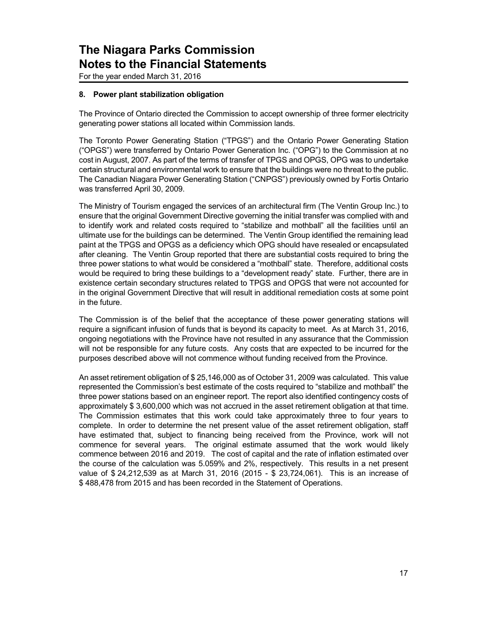For the year ended March 31, 2016

#### **8. Power plant stabilization obligation**

 The Province of Ontario directed the Commission to accept ownership of three former electricity generating power stations all located within Commission lands.

 The Toronto Power Generating Station ("TPGS") and the Ontario Power Generating Station ("OPGS") were transferred by Ontario Power Generation Inc. ("OPG") to the Commission at no cost in August, 2007. As part of the terms of transfer of TPGS and OPGS, OPG was to undertake certain structural and environmental work to ensure that the buildings were no threat to the public. The Canadian Niagara Power Generating Station ("CNPGS") previously owned by Fortis Ontario was transferred April 30, 2009.

 ensure that the original Government Directive governing the initial transfer was complied with and to identify work and related costs required to "stabilize and mothball" all the facilities until an ultimate use for the buildings can be determined. The Ventin Group identified the remaining lead paint at the TPGS and OPGS as a deficiency which OPG should have resealed or encapsulated after cleaning. The Ventin Group reported that there are substantial costs required to bring the three power stations to what would be considered a "mothball" state. Therefore, additional costs would be required to bring these buildings to a "development ready" state. Further, there are in existence certain secondary structures related to TPGS and OPGS that were not accounted for in the original Government Directive that will result in additional remediation costs at some point in the future. The Ministry of Tourism engaged the services of an architectural firm (The Ventin Group Inc.) to

 The Commission is of the belief that the acceptance of these power generating stations will require a significant infusion of funds that is beyond its capacity to meet. As at March 31, 2016, will not be responsible for any future costs. Any costs that are expected to be incurred for the purposes described above will not commence without funding received from the Province. ongoing negotiations with the Province have not resulted in any assurance that the Commission

 An asset retirement obligation of \$ 25,146,000 as of October 31, 2009 was calculated. This value represented the Commission's best estimate of the costs required to "stabilize and mothball" the three power stations based on an engineer report. The report also identified contingency costs of approximately \$ 3,600,000 which was not accrued in the asset retirement obligation at that time. The Commission estimates that this work could take approximately three to four years to complete. In order to determine the net present value of the asset retirement obligation, staff have estimated that, subject to financing being received from the Province, work will not commence for several years. The original estimate assumed that the work would likely commence between 2016 and 2019. The cost of capital and the rate of inflation estimated over the course of the calculation was 5.059% and 2%, respectively. This results in a net present value of \$ 24,212,539 as at March 31, 2016 (2015 - \$ 23,724,061). This is an increase of \$ 488,478 from 2015 and has been recorded in the Statement of Operations.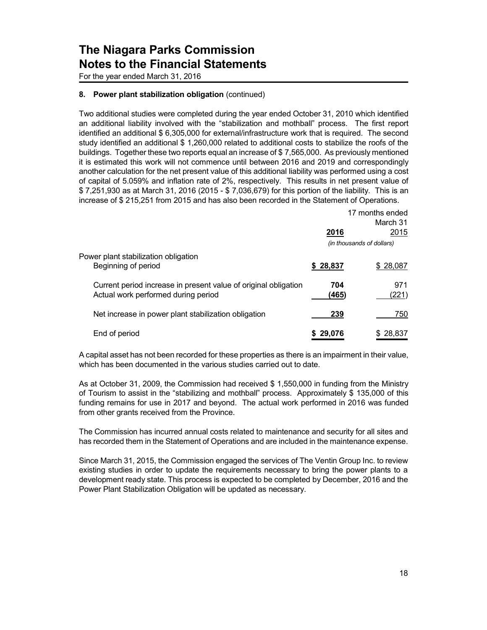For the year ended March 31, 2016

#### **8. Power plant stabilization obligation** (continued)

 Two additional studies were completed during the year ended October 31, 2010 which identified an additional liability involved with the "stabilization and mothball" process. The first report identified an additional \$ 6,305,000 for external/infrastructure work that is required. The second study identified an additional \$ 1,260,000 related to additional costs to stabilize the roofs of the buildings. Together these two reports equal an increase of \$ 7,565,000. As previously mentioned it is estimated this work will not commence until between 2016 and 2019 and correspondingly another calculation for the net present value of this additional liability was performed using a cost of capital of 5.059% and inflation rate of 2%, respectively. This results in net present value of \$ 7,251,930 as at March 31, 2016 (2015 - \$ 7,036,679) for this portion of the liability. This is an increase of \$ 215,251 from 2015 and has also been recorded in the Statement of Operations.

|                                                                                                        |                     | 17 months ended<br>March 31 |
|--------------------------------------------------------------------------------------------------------|---------------------|-----------------------------|
|                                                                                                        | 2016                | 2015                        |
|                                                                                                        |                     | (in thousands of dollars)   |
| Power plant stabilization obligation<br>Beginning of period                                            | \$28,837            | \$28,087                    |
| Current period increase in present value of original obligation<br>Actual work performed during period | 704<br><u>(465)</u> | 971<br>(221)                |
| Net increase in power plant stabilization obligation                                                   | 239                 | 750                         |
| End of period                                                                                          | \$29,076            | \$28.837                    |

 A capital asset has not been recorded for these properties as there is an impairment in their value, which has been documented in the various studies carried out to date.

 As at October 31, 2009, the Commission had received \$ 1,550,000 in funding from the Ministry of Tourism to assist in the "stabilizing and mothball" process. Approximately \$ 135,000 of this funding remains for use in 2017 and beyond. The actual work performed in 2016 was funded from other grants received from the Province.

 The Commission has incurred annual costs related to maintenance and security for all sites and has recorded them in the Statement of Operations and are included in the maintenance expense.

 Since March 31, 2015, the Commission engaged the services of The Ventin Group Inc. to review existing studies in order to update the requirements necessary to bring the power plants to a development ready state. This process is expected to be completed by December, 2016 and the Power Plant Stabilization Obligation will be updated as necessary. Power Plant Stabilization Obligation will be updated as necessary.<br>18<br>18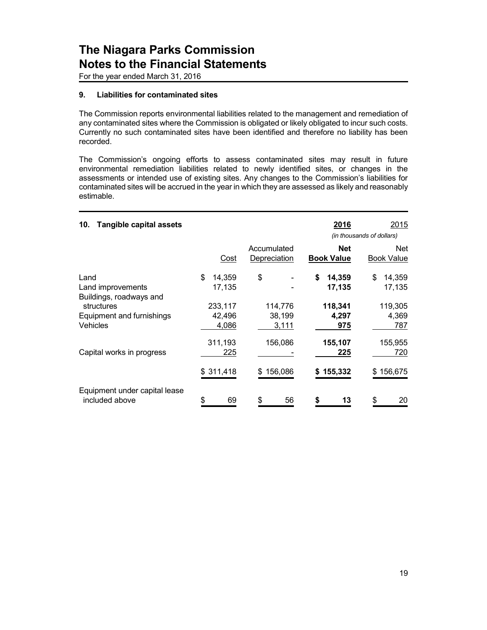For the year ended March 31, 2016

#### **9. Liabilities for contaminated sites**

 The Commission reports environmental liabilities related to the management and remediation of any contaminated sites where the Commission is obligated or likely obligated to incur such costs. Currently no such contaminated sites have been identified and therefore no liability has been recorded.

 The Commission's ongoing efforts to assess contaminated sites may result in future environmental remediation liabilities related to newly identified sites, or changes in the assessments or intended use of existing sites. Any changes to the Commission's liabilities for contaminated sites will be accrued in the year in which they are assessed as likely and reasonably estimable.

| <b>Tangible capital assets</b><br>10.                |                            |                             | 2016                            | 2015<br>(in thousands of dollars) |
|------------------------------------------------------|----------------------------|-----------------------------|---------------------------------|-----------------------------------|
|                                                      | Cost                       | Accumulated<br>Depreciation | <b>Net</b><br><b>Book Value</b> | Net<br><b>Book Value</b>          |
| Land<br>Land improvements<br>Buildings, roadways and | \$<br>14,359<br>17,135     | \$                          | 14,359<br>\$<br>17,135          | 14,359<br>\$<br>17,135            |
| structures<br>Equipment and furnishings<br>Vehicles  | 233,117<br>42,496<br>4,086 | 114,776<br>38,199<br>3,111  | 118,341<br>4,297<br>975         | 119,305<br>4,369<br>787           |
| Capital works in progress                            | 311,193<br>225             | 156,086                     | 155,107<br>225                  | 155,955<br>720                    |
|                                                      | \$311,418                  | 156,086                     | 155,332                         | 156,675                           |
| Equipment under capital lease<br>included above      | \$<br>69                   | \$<br>56                    | \$<br>13                        | \$<br>20                          |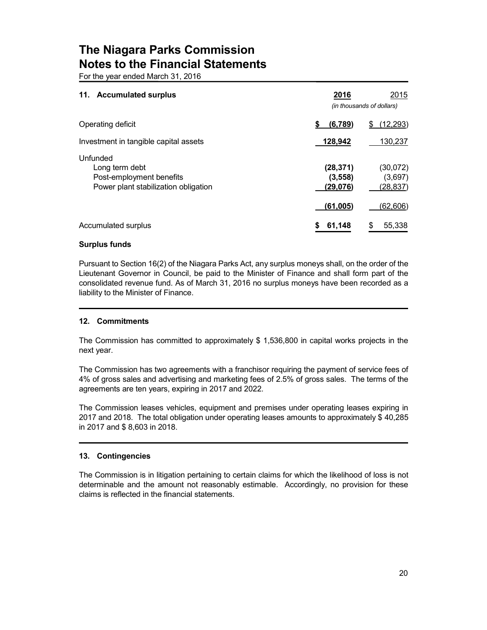For the year ended March 31, 2016

| 11. Accumulated surplus                                                                        | 2016                               | 2015<br>(in thousands of dollars) |
|------------------------------------------------------------------------------------------------|------------------------------------|-----------------------------------|
| Operating deficit                                                                              | (6,789)<br>S                       | (12, 293)<br>\$                   |
| Investment in tangible capital assets                                                          | 128,942                            | 130,237                           |
| Unfunded<br>Long term debt<br>Post-employment benefits<br>Power plant stabilization obligation | (28, 371)<br>(3, 558)<br>(29, 076) | (30,072)<br>(3,697)<br>(28, 837)  |
|                                                                                                | (61,005)                           | (62, 606)                         |
| Accumulated surplus                                                                            | 61,148<br>S                        | S<br>55,338                       |

#### **Surplus funds**

 Pursuant to Section 16(2) of the Niagara Parks Act, any surplus moneys shall, on the order of the Lieutenant Governor in Council, be paid to the Minister of Finance and shall form part of the consolidated revenue fund. As of March 31, 2016 no surplus moneys have been recorded as a liability to the Minister of Finance.

#### **12. Commitments**

 The Commission has committed to approximately \$ 1,536,800 in capital works projects in the next year.

 The Commission has two agreements with a franchisor requiring the payment of service fees of 4% of gross sales and advertising and marketing fees of 2.5% of gross sales. The terms of the agreements are ten years, expiring in 2017 and 2022.

 The Commission leases vehicles, equipment and premises under operating leases expiring in 2017 and 2018. The total obligation under operating leases amounts to approximately \$ 40,285 in 2017 and \$ 8,603 in 2018.

#### **13. Contingencies**

 The Commission is in litigation pertaining to certain claims for which the likelihood of loss is not determinable and the amount not reasonably estimable. Accordingly, no provision for these claims is reflected in the financial statements.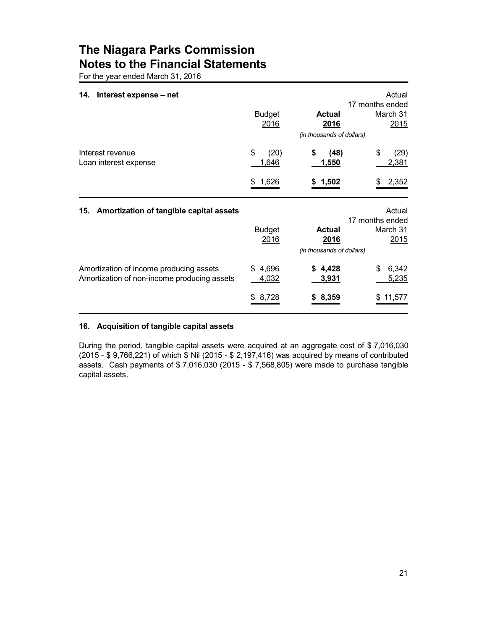For the year ended March 31, 2016

| 14.<br>Interest expense – net                  |                       |                           | Actual<br>17 months ended |
|------------------------------------------------|-----------------------|---------------------------|---------------------------|
|                                                | <b>Budget</b><br>2016 | <b>Actual</b><br>2016     | March 31<br>2015          |
|                                                |                       | (in thousands of dollars) |                           |
| Interest revenue<br>Loan interest expense      | \$<br>(20)<br>1,646   | \$<br>(48)<br>1,550       | \$<br>(29)<br>2,381       |
|                                                | \$<br>1,626           | 1,502<br>\$               | 2,352<br>\$               |
| Amortization of tangible capital assets<br>15. |                       |                           | Actual<br>17 months ended |

|                                                                                        | <b>Budget</b><br>2016 | <b>Actual</b><br>2016<br>(in thousands of dollars) | March 31<br>2015 |
|----------------------------------------------------------------------------------------|-----------------------|----------------------------------------------------|------------------|
| Amortization of income producing assets<br>Amortization of non-income producing assets | \$4,696<br>4,032      | \$4,428<br>3,931                                   | 6,342<br>5,235   |
|                                                                                        | \$8,728               | \$8,359                                            | \$11,577         |

#### **16. Acquisition of tangible capital assets**

 During the period, tangible capital assets were acquired at an aggregate cost of \$ 7,016,030 (2015 - \$ 9,766,221) of which \$ Nil (2015 - \$ 2,197,416) was acquired by means of contributed assets. Cash payments of \$ 7,016,030 (2015 - \$ 7,568,805) were made to purchase tangible capital assets.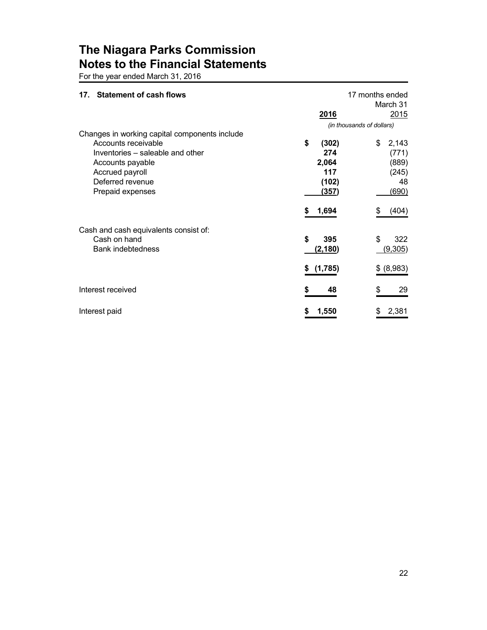For the year ended March 31, 2016

| 17.<br><b>Statement of cash flows</b>                                                                                                                                                   | 2016                                                 | 17 months ended<br>March 31<br>2015<br>(in thousands of dollars) |
|-----------------------------------------------------------------------------------------------------------------------------------------------------------------------------------------|------------------------------------------------------|------------------------------------------------------------------|
| Changes in working capital components include<br>Accounts receivable<br>Inventories – saleable and other<br>Accounts payable<br>Accrued payroll<br>Deferred revenue<br>Prepaid expenses | \$<br>(302)<br>274<br>2,064<br>117<br>(102)<br>(357) | 2,143<br>\$<br>(771)<br>(889)<br>(245)<br>48<br>(690)            |
|                                                                                                                                                                                         | 1,694<br>5                                           | (404)<br>\$                                                      |
| Cash and cash equivalents consist of:<br>Cash on hand<br><b>Bank indebtedness</b>                                                                                                       | \$<br>395<br><u>(2,180)</u><br>\$(1,785)             | \$<br>322<br>(9,305)<br>\$ (8,983)                               |
| Interest received                                                                                                                                                                       | \$<br>48                                             | \$<br>29                                                         |
| Interest paid                                                                                                                                                                           | \$<br>1,550                                          | \$<br>2,381                                                      |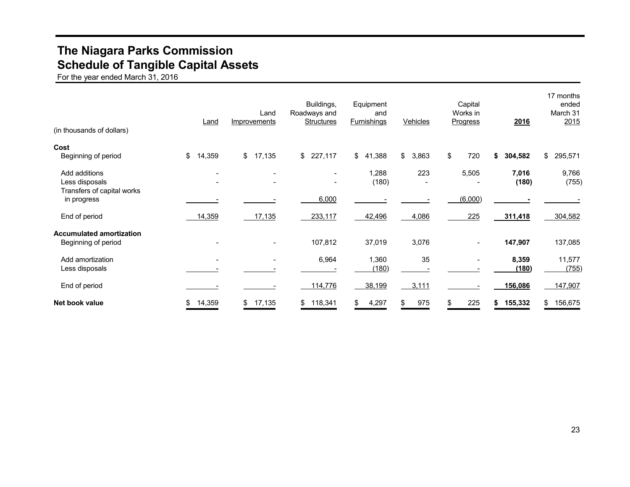### **The Niagara Parks Commission Schedule of Tangible Capital Assets**

For the year ended March 31, 2016

| (in thousands of dollars)                              | Land                     | Land<br>Improvements     | Buildings,<br>Roadways and<br><b>Structures</b> | Equipment<br>and<br><b>Furnishings</b> | Vehicles    | Capital<br>Works in<br>Progress | 2016           | 17 months<br>ended<br>March 31<br>2015 |
|--------------------------------------------------------|--------------------------|--------------------------|-------------------------------------------------|----------------------------------------|-------------|---------------------------------|----------------|----------------------------------------|
| Cost<br>Beginning of period                            | \$<br>14,359             | \$<br>17,135             | \$<br>227,117                                   | $\mathbb{S}$<br>41,388                 | \$<br>3,863 | \$<br>720                       | 304,582<br>\$  | \$<br>295,571                          |
| Add additions<br>Less disposals                        | $\overline{\phantom{a}}$ | $\overline{\phantom{a}}$ |                                                 | 1,288<br>(180)                         | 223         | 5,505                           | 7,016<br>(180) | 9,766<br>(755)                         |
| Transfers of capital works<br>in progress              |                          |                          | 6,000                                           |                                        |             | (6,000)                         |                |                                        |
| End of period                                          | 14,359                   | 17,135                   | 233,117                                         | 42,496                                 | 4,086       | 225                             | 311,418        | 304,582                                |
| <b>Accumulated amortization</b><br>Beginning of period |                          | $\blacksquare$           | 107,812                                         | 37,019                                 | 3,076       | $\qquad \qquad \blacksquare$    | 147,907        | 137,085                                |
| Add amortization<br>Less disposals                     |                          |                          | 6,964                                           | 1,360<br>(180)                         | 35          |                                 | 8,359<br>(180) | 11,577<br>(755)                        |
| End of period                                          |                          |                          | 114,776                                         | 38,199                                 | 3,111       |                                 | 156,086        | 147,907                                |
| Net book value                                         | 14,359<br>\$             | 17,135<br>\$             | 118,341<br>\$                                   | 4,297<br>\$                            | 975<br>\$   | 225<br>\$                       | 155,332<br>\$  | \$<br>156,675                          |